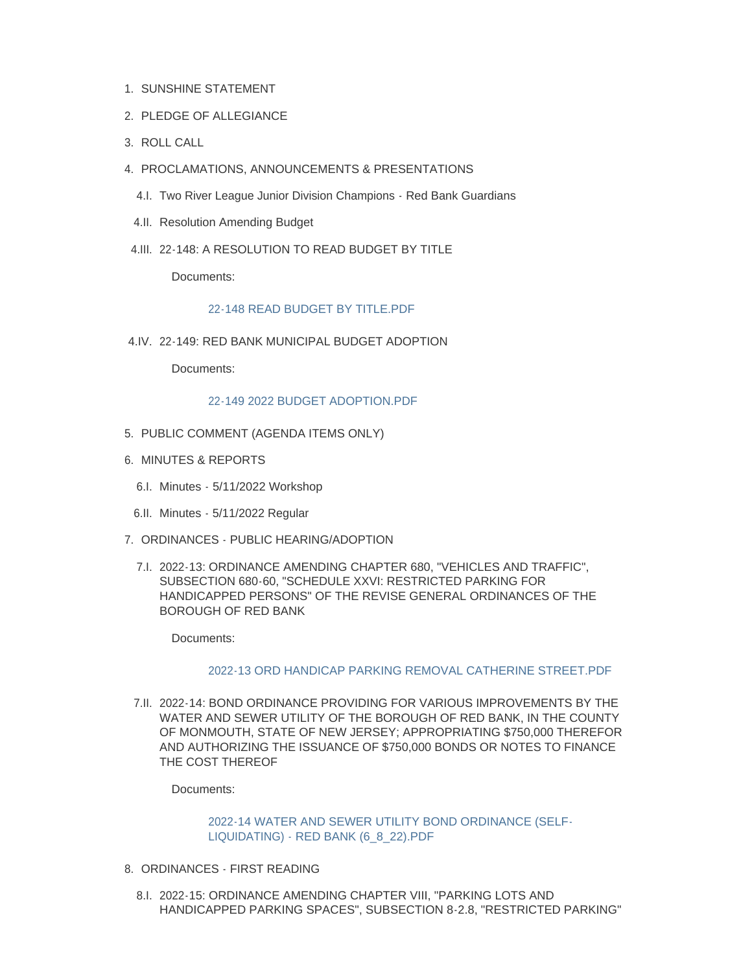- 1. SUNSHINE STATEMENT
- 2. PLEDGE OF ALLEGIANCE
- ROLL CALL 3.
- PROCLAMATIONS, ANNOUNCEMENTS & PRESENTATIONS 4.
	- 4.I. Two River League Junior Division Champions Red Bank Guardians
- 4.II. Resolution Amending Budget
- 4.III. 22-148: A RESOLUTION TO READ BUDGET BY TITLE

Documents:

### 22-148 READ BUDGET BY TITLE PDF

22-149: RED BANK MUNICIPAL BUDGET ADOPTION 4.IV.

Documents:

### [22-149 2022 BUDGET ADOPTION.PDF](http://www.redbanknj.org/AgendaCenter/ViewFile/Item/7650?fileID=20995)

- 5. PUBLIC COMMENT (AGENDA ITEMS ONLY)
- 6. MINUTES & REPORTS
	- 6.I. Minutes 5/11/2022 Workshop
	- 6.II. Minutes 5/11/2022 Regular
- 7. ORDINANCES PUBLIC HEARING/ADOPTION
	- 7.I. 2022-13: ORDINANCE AMENDING CHAPTER 680, "VEHICLES AND TRAFFIC", SUBSECTION 680-60, "SCHEDULE XXVI: RESTRICTED PARKING FOR HANDICAPPED PERSONS" OF THE REVISE GENERAL ORDINANCES OF THE BOROUGH OF RED BANK

Documents:

### [2022-13 ORD HANDICAP PARKING REMOVAL CATHERINE STREET.PDF](http://www.redbanknj.org/AgendaCenter/ViewFile/Item/7671?fileID=21015)

7.II. 2022-14: BOND ORDINANCE PROVIDING FOR VARIOUS IMPROVEMENTS BY THE WATER AND SEWER UTILITY OF THE BOROUGH OF RED BANK, IN THE COUNTY OF MONMOUTH, STATE OF NEW JERSEY; APPROPRIATING \$750,000 THEREFOR AND AUTHORIZING THE ISSUANCE OF \$750,000 BONDS OR NOTES TO FINANCE THE COST THEREOF

Documents:

[2022-14 WATER AND SEWER UTILITY BOND ORDINANCE \(SELF-](http://www.redbanknj.org/AgendaCenter/ViewFile/Item/7651?fileID=20996)LIQUIDATING) - RED BANK (6\_8\_22).PDF

- 8. ORDINANCES FIRST READING
	- 8.I. 2022-15: ORDINANCE AMENDING CHAPTER VIII, "PARKING LOTS AND HANDICAPPED PARKING SPACES", SUBSECTION 8-2.8, "RESTRICTED PARKING"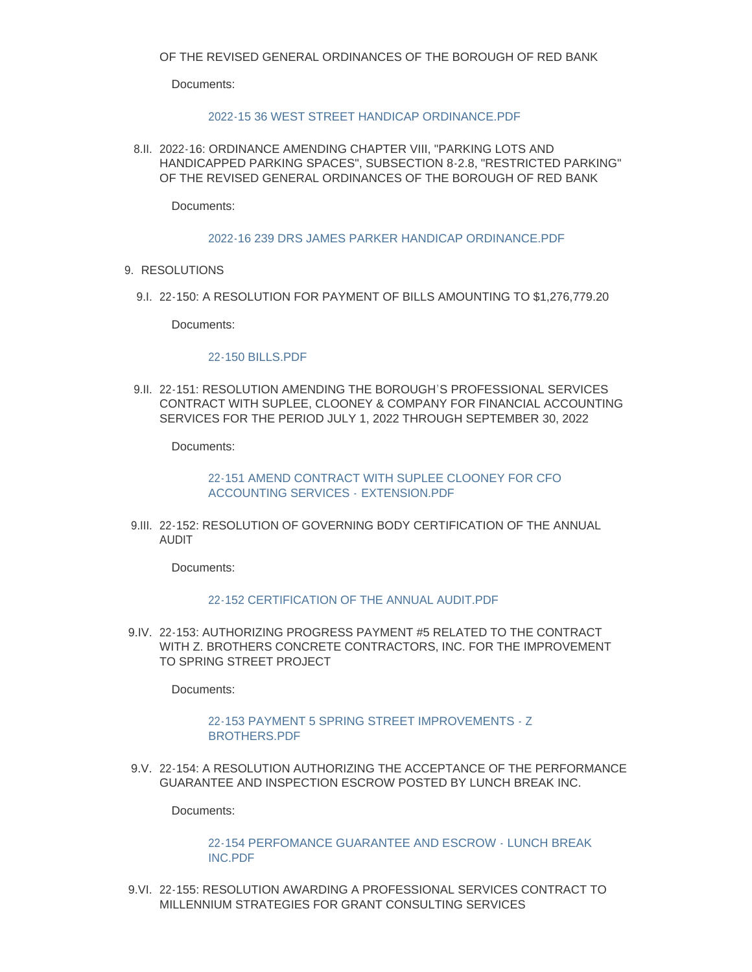Documents:

## [2022-15 36 WEST STREET HANDICAP ORDINANCE.PDF](http://www.redbanknj.org/AgendaCenter/ViewFile/Item/7670?fileID=21014)

8.II. 2022-16: ORDINANCE AMENDING CHAPTER VIII, "PARKING LOTS AND HANDICAPPED PARKING SPACES", SUBSECTION 8-2.8, "RESTRICTED PARKING" OF THE REVISED GENERAL ORDINANCES OF THE BOROUGH OF RED BANK

Documents:

### [2022-16 239 DRS JAMES PARKER HANDICAP ORDINANCE.PDF](http://www.redbanknj.org/AgendaCenter/ViewFile/Item/7672?fileID=21016)

- 9. RESOLUTIONS
	- 22-150: A RESOLUTION FOR PAYMENT OF BILLS AMOUNTING TO \$1,276,779.20 9.I.

Documents:

### [22-150 BILLS.PDF](http://www.redbanknj.org/AgendaCenter/ViewFile/Item/7652?fileID=20997)

22-151: RESOLUTION AMENDING THE BOROUGH'S PROFESSIONAL SERVICES 9.II. CONTRACT WITH SUPLEE, CLOONEY & COMPANY FOR FINANCIAL ACCOUNTING SERVICES FOR THE PERIOD JULY 1, 2022 THROUGH SEPTEMBER 30, 2022

Documents:

[22-151 AMEND CONTRACT WITH SUPLEE CLOONEY FOR CFO](http://www.redbanknj.org/AgendaCenter/ViewFile/Item/7653?fileID=20998)  ACCOUNTING SERVICES - EXTENSION.PDF

22-152: RESOLUTION OF GOVERNING BODY CERTIFICATION OF THE ANNUAL 9.III. AUDIT

Documents:

### [22-152 CERTIFICATION OF THE ANNUAL AUDIT.PDF](http://www.redbanknj.org/AgendaCenter/ViewFile/Item/7654?fileID=20999)

22-153: AUTHORIZING PROGRESS PAYMENT #5 RELATED TO THE CONTRACT 9.IV. WITH Z. BROTHERS CONCRETE CONTRACTORS, INC. FOR THE IMPROVEMENT TO SPRING STREET PROJECT

Documents:

## [22-153 PAYMENT 5 SPRING STREET IMPROVEMENTS - Z](http://www.redbanknj.org/AgendaCenter/ViewFile/Item/7655?fileID=21000)  BROTHERS.PDF

22-154: A RESOLUTION AUTHORIZING THE ACCEPTANCE OF THE PERFORMANCE 9.V. GUARANTEE AND INSPECTION ESCROW POSTED BY LUNCH BREAK INC.

Documents:

## [22-154 PERFOMANCE GUARANTEE AND ESCROW - LUNCH BREAK](http://www.redbanknj.org/AgendaCenter/ViewFile/Item/7656?fileID=21001)  INC.PDF

9.VI. 22-155: RESOLUTION AWARDING A PROFESSIONAL SERVICES CONTRACT TO MILLENNIUM STRATEGIES FOR GRANT CONSULTING SERVICES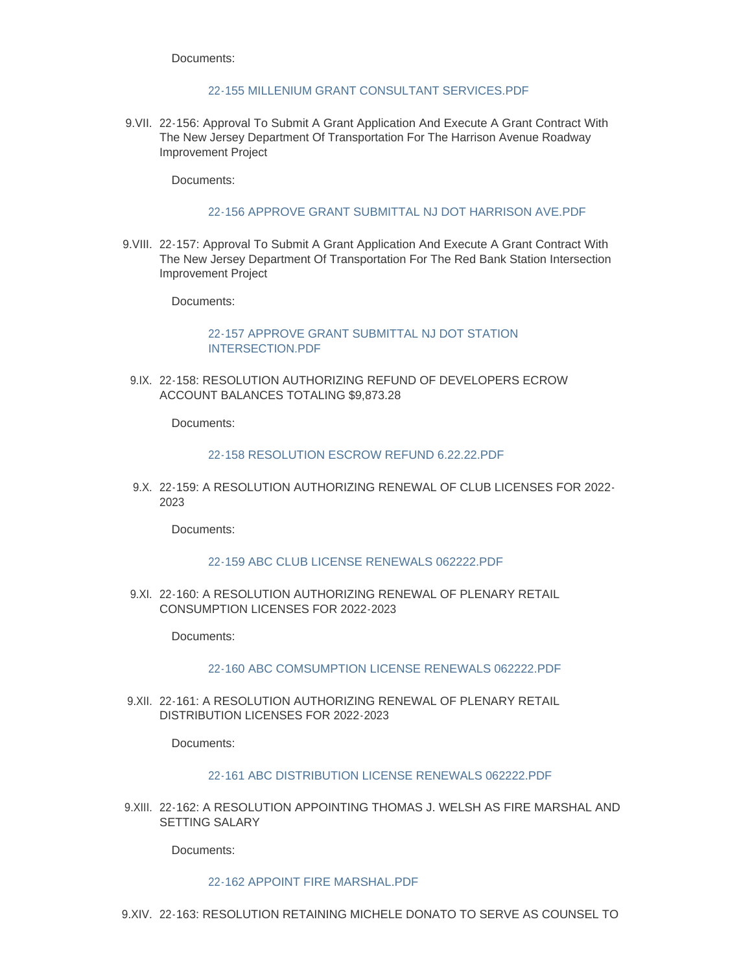Documents:

## [22-155 MILLENIUM GRANT CONSULTANT SERVICES.PDF](http://www.redbanknj.org/AgendaCenter/ViewFile/Item/7657?fileID=21002)

9. VII. 22-156: Approval To Submit A Grant Application And Execute A Grant Contract With The New Jersey Department Of Transportation For The Harrison Avenue Roadway Improvement Project

Documents:

# [22-156 APPROVE GRANT SUBMITTAL NJ DOT HARRISON AVE.PDF](http://www.redbanknj.org/AgendaCenter/ViewFile/Item/7658?fileID=21003)

9. VIII. 22-157: Approval To Submit A Grant Application And Execute A Grant Contract With The New Jersey Department Of Transportation For The Red Bank Station Intersection Improvement Project

Documents:

# [22-157 APPROVE GRANT SUBMITTAL NJ DOT STATION](http://www.redbanknj.org/AgendaCenter/ViewFile/Item/7659?fileID=21004)  INTERSECTION.PDF

22-158: RESOLUTION AUTHORIZING REFUND OF DEVELOPERS ECROW 9.IX. ACCOUNT BALANCES TOTALING \$9,873.28

Documents:

### [22-158 RESOLUTION ESCROW REFUND 6.22.22.PDF](http://www.redbanknj.org/AgendaCenter/ViewFile/Item/7660?fileID=21005)

22-159: A RESOLUTION AUTHORIZING RENEWAL OF CLUB LICENSES FOR 2022- 9.X. 2023

Documents:

## [22-159 ABC CLUB LICENSE RENEWALS 062222.PDF](http://www.redbanknj.org/AgendaCenter/ViewFile/Item/7661?fileID=21006)

9.XI. 22-160: A RESOLUTION AUTHORIZING RENEWAL OF PLENARY RETAIL CONSUMPTION LICENSES FOR 2022-2023

Documents:

# [22-160 ABC COMSUMPTION LICENSE RENEWALS 062222.PDF](http://www.redbanknj.org/AgendaCenter/ViewFile/Item/7662?fileID=21007)

9.XII. 22-161: A RESOLUTION AUTHORIZING RENEWAL OF PLENARY RETAIL DISTRIBUTION LICENSES FOR 2022-2023

Documents:

### [22-161 ABC DISTRIBUTION LICENSE RENEWALS 062222.PDF](http://www.redbanknj.org/AgendaCenter/ViewFile/Item/7663?fileID=21008)

9.XIII. 22-162: A RESOLUTION APPOINTING THOMAS J. WELSH AS FIRE MARSHAL AND SETTING SALARY

Documents:

### [22-162 APPOINT FIRE MARSHAL.PDF](http://www.redbanknj.org/AgendaCenter/ViewFile/Item/7664?fileID=21009)